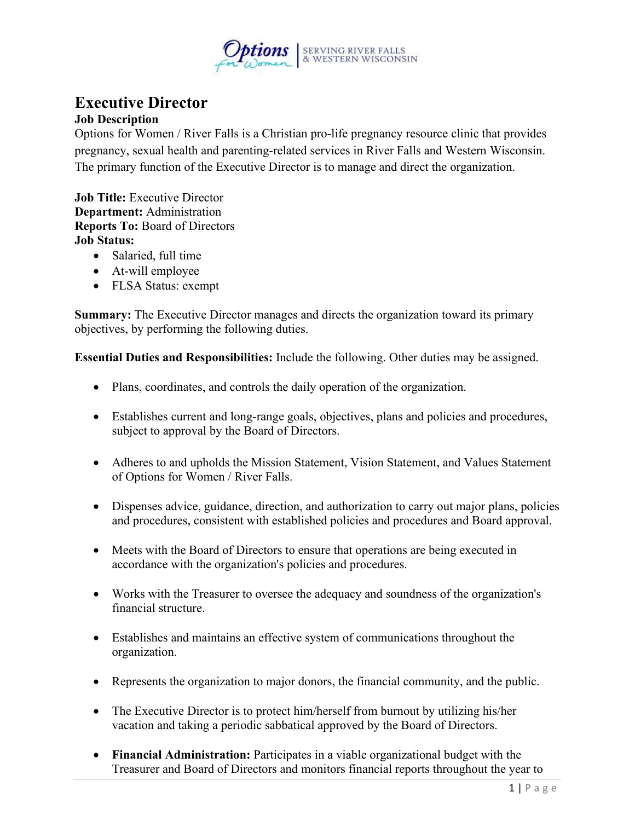

## **Executive Director**

## **Job Description**

Options for Women / River Falls is a Christian pro-life pregnancy resource clinic that provides pregnancy, sexual health and parenting-related services in River Falls and Western Wisconsin. The primary function of the Executive Director is to manage and direct the organization.

**Job Title: Executive Director Department:** Administration **Reports To:** Board of Directors **Job Status:**

- Salaried, full time
- At-will employee
- FLSA Status: exempt

**Summary:** The Executive Director manages and directs the organization toward its primary objectives, by performing the following duties.

**Essential Duties and Responsibilities:** Include the following. Other duties may be assigned.

- Plans, coordinates, and controls the daily operation of the organization.
- Establishes current and long-range goals, objectives, plans and policies and procedures, subject to approval by the Board of Directors.
- Adheres to and upholds the Mission Statement, Vision Statement, and Values Statement of Options for Women / River Falls.
- Dispenses advice, guidance, direction, and authorization to carry out major plans, policies and procedures, consistent with established policies and procedures and Board approval.
- Meets with the Board of Directors to ensure that operations are being executed in accordance with the organization's policies and procedures.
- Works with the Treasurer to oversee the adequacy and soundness of the organization's financial structure.
- Establishes and maintains an effective system of communications throughout the organization.
- Represents the organization to major donors, the financial community, and the public.
- The Executive Director is to protect him/herself from burnout by utilizing his/her vacation and taking a periodic sabbatical approved by the Board of Directors.
- **Financial Administration:** Participates in a viable organizational budget with the Treasurer and Board of Directors and monitors financial reports throughout the year to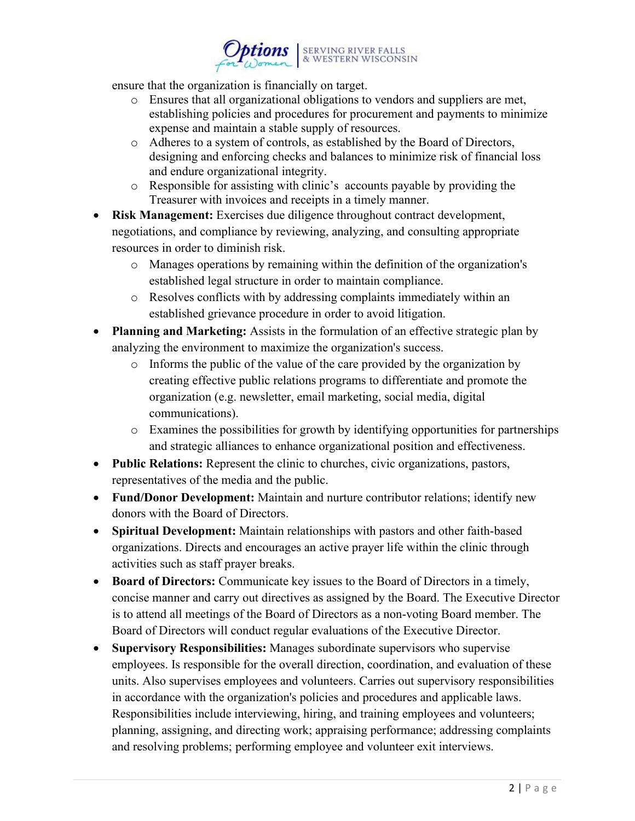

ensure that the organization is financially on target.

- o Ensures that all organizational obligations to vendors and suppliers are met, establishing policies and procedures for procurement and payments to minimize expense and maintain a stable supply of resources.
- o Adheres to a system of controls, as established by the Board of Directors, designing and enforcing checks and balances to minimize risk of financial loss and endure organizational integrity.
- o Responsible for assisting with clinic's accounts payable by providing the Treasurer with invoices and receipts in a timely manner.
- **Risk Management:** Exercises due diligence throughout contract development, negotiations, and compliance by reviewing, analyzing, and consulting appropriate resources in order to diminish risk.
	- o Manages operations by remaining within the definition of the organization's established legal structure in order to maintain compliance.
	- o Resolves conflicts with by addressing complaints immediately within an established grievance procedure in order to avoid litigation.
- **Planning and Marketing:** Assists in the formulation of an effective strategic plan by analyzing the environment to maximize the organization's success.
	- o Informs the public of the value of the care provided by the organization by creating effective public relations programs to differentiate and promote the organization (e.g. newsletter, email marketing, social media, digital communications).
	- o Examines the possibilities for growth by identifying opportunities for partnerships and strategic alliances to enhance organizational position and effectiveness.
- **Public Relations:** Represent the clinic to churches, civic organizations, pastors, representatives of the media and the public.
- **Fund/Donor Development:** Maintain and nurture contributor relations; identify new donors with the Board of Directors.
- **Spiritual Development:** Maintain relationships with pastors and other faith-based organizations. Directs and encourages an active prayer life within the clinic through activities such as staff prayer breaks.
- **Board of Directors:** Communicate key issues to the Board of Directors in a timely, concise manner and carry out directives as assigned by the Board. The Executive Director is to attend all meetings of the Board of Directors as a non-voting Board member. The Board of Directors will conduct regular evaluations of the Executive Director.
- **Supervisory Responsibilities:** Manages subordinate supervisors who supervise employees. Is responsible for the overall direction, coordination, and evaluation of these units. Also supervises employees and volunteers. Carries out supervisory responsibilities in accordance with the organization's policies and procedures and applicable laws. Responsibilities include interviewing, hiring, and training employees and volunteers; planning, assigning, and directing work; appraising performance; addressing complaints and resolving problems; performing employee and volunteer exit interviews.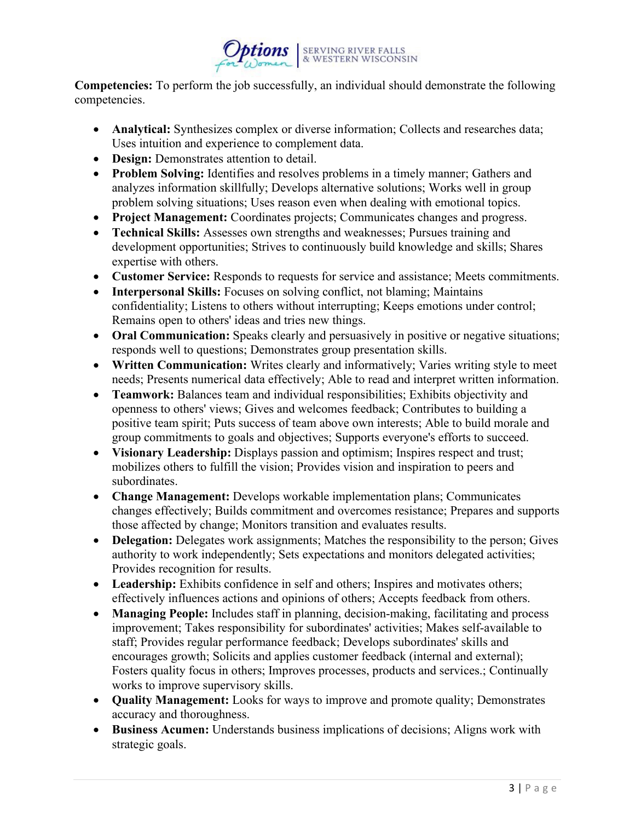

**Competencies:** To perform the job successfully, an individual should demonstrate the following competencies.

- **Analytical:** Synthesizes complex or diverse information; Collects and researches data; Uses intuition and experience to complement data.
- **Design:** Demonstrates attention to detail.
- **Problem Solving:** Identifies and resolves problems in a timely manner; Gathers and analyzes information skillfully; Develops alternative solutions; Works well in group problem solving situations; Uses reason even when dealing with emotional topics.
- **Project Management:** Coordinates projects; Communicates changes and progress.
- **Technical Skills:** Assesses own strengths and weaknesses; Pursues training and development opportunities; Strives to continuously build knowledge and skills; Shares expertise with others.
- **Customer Service:** Responds to requests for service and assistance; Meets commitments.
- **Interpersonal Skills:** Focuses on solving conflict, not blaming; Maintains confidentiality; Listens to others without interrupting; Keeps emotions under control; Remains open to others' ideas and tries new things.
- **Oral Communication:** Speaks clearly and persuasively in positive or negative situations; responds well to questions; Demonstrates group presentation skills.
- **Written Communication:** Writes clearly and informatively; Varies writing style to meet needs; Presents numerical data effectively; Able to read and interpret written information.
- **Teamwork:** Balances team and individual responsibilities; Exhibits objectivity and openness to others' views; Gives and welcomes feedback; Contributes to building a positive team spirit; Puts success of team above own interests; Able to build morale and group commitments to goals and objectives; Supports everyone's efforts to succeed.
- **Visionary Leadership:** Displays passion and optimism; Inspires respect and trust; mobilizes others to fulfill the vision; Provides vision and inspiration to peers and subordinates.
- **Change Management:** Develops workable implementation plans; Communicates changes effectively; Builds commitment and overcomes resistance; Prepares and supports those affected by change; Monitors transition and evaluates results.
- **Delegation:** Delegates work assignments; Matches the responsibility to the person; Gives authority to work independently; Sets expectations and monitors delegated activities; Provides recognition for results.
- Leadership: Exhibits confidence in self and others; Inspires and motivates others; effectively influences actions and opinions of others; Accepts feedback from others.
- **Managing People:** Includes staff in planning, decision-making, facilitating and process improvement; Takes responsibility for subordinates' activities; Makes self-available to staff; Provides regular performance feedback; Develops subordinates' skills and encourages growth; Solicits and applies customer feedback (internal and external); Fosters quality focus in others; Improves processes, products and services.; Continually works to improve supervisory skills.
- **Quality Management:** Looks for ways to improve and promote quality; Demonstrates accuracy and thoroughness.
- **Business Acumen:** Understands business implications of decisions; Aligns work with strategic goals.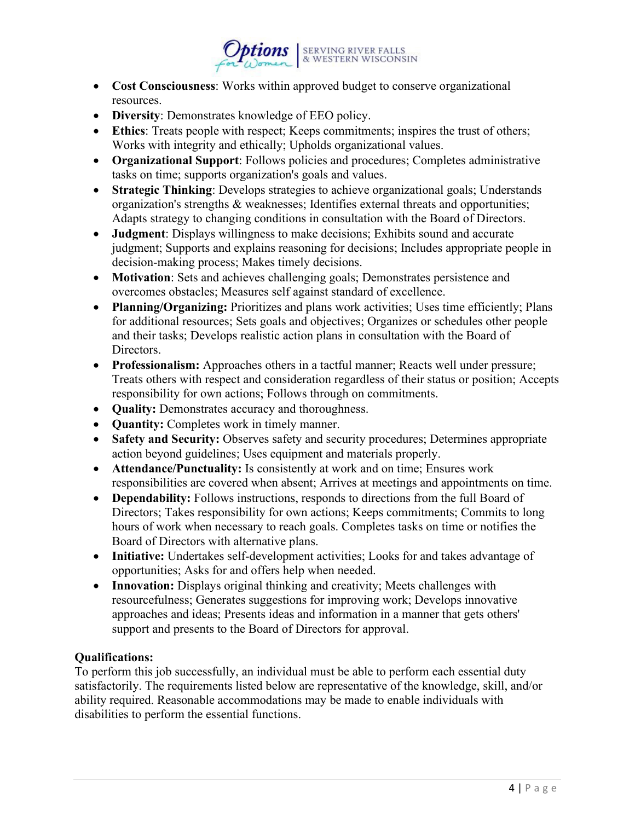

- **Cost Consciousness**: Works within approved budget to conserve organizational resources.
- **Diversity**: Demonstrates knowledge of EEO policy.
- **Ethics**: Treats people with respect; Keeps commitments; inspires the trust of others; Works with integrity and ethically; Upholds organizational values.
- **Organizational Support**: Follows policies and procedures; Completes administrative tasks on time; supports organization's goals and values.
- **Strategic Thinking**: Develops strategies to achieve organizational goals; Understands organization's strengths & weaknesses; Identifies external threats and opportunities; Adapts strategy to changing conditions in consultation with the Board of Directors.
- **Judgment**: Displays willingness to make decisions; Exhibits sound and accurate judgment; Supports and explains reasoning for decisions; Includes appropriate people in decision-making process; Makes timely decisions.
- **Motivation**: Sets and achieves challenging goals; Demonstrates persistence and overcomes obstacles; Measures self against standard of excellence.
- **Planning/Organizing:** Prioritizes and plans work activities; Uses time efficiently; Plans for additional resources; Sets goals and objectives; Organizes or schedules other people and their tasks; Develops realistic action plans in consultation with the Board of Directors.
- **Professionalism:** Approaches others in a tactful manner; Reacts well under pressure; Treats others with respect and consideration regardless of their status or position; Accepts responsibility for own actions; Follows through on commitments.
- **Quality:** Demonstrates accuracy and thoroughness.
- **Quantity:** Completes work in timely manner.
- **Safety and Security:** Observes safety and security procedures; Determines appropriate action beyond guidelines; Uses equipment and materials properly.
- **Attendance/Punctuality:** Is consistently at work and on time; Ensures work responsibilities are covered when absent; Arrives at meetings and appointments on time.
- **Dependability:** Follows instructions, responds to directions from the full Board of Directors; Takes responsibility for own actions; Keeps commitments; Commits to long hours of work when necessary to reach goals. Completes tasks on time or notifies the Board of Directors with alternative plans.
- **Initiative:** Undertakes self-development activities; Looks for and takes advantage of opportunities; Asks for and offers help when needed.
- **Innovation:** Displays original thinking and creativity; Meets challenges with resourcefulness; Generates suggestions for improving work; Develops innovative approaches and ideas; Presents ideas and information in a manner that gets others' support and presents to the Board of Directors for approval.

## **Qualifications:**

To perform this job successfully, an individual must be able to perform each essential duty satisfactorily. The requirements listed below are representative of the knowledge, skill, and/or ability required. Reasonable accommodations may be made to enable individuals with disabilities to perform the essential functions.